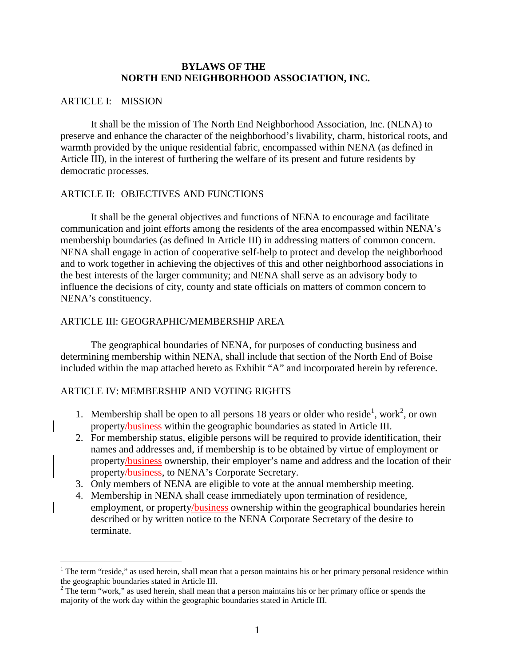#### **BYLAWS OF THE NORTH END NEIGHBORHOOD ASSOCIATION, INC.**

### ARTICLE I: MISSION

<u>.</u>

 It shall be the mission of The North End Neighborhood Association, Inc. (NENA) to preserve and enhance the character of the neighborhood's livability, charm, historical roots, and warmth provided by the unique residential fabric, encompassed within NENA (as defined in Article III), in the interest of furthering the welfare of its present and future residents by democratic processes.

### ARTICLE II: OBJECTIVES AND FUNCTIONS

It shall be the general objectives and functions of NENA to encourage and facilitate communication and joint efforts among the residents of the area encompassed within NENA's membership boundaries (as defined In Article III) in addressing matters of common concern. NENA shall engage in action of cooperative self-help to protect and develop the neighborhood and to work together in achieving the objectives of this and other neighborhood associations in the best interests of the larger community; and NENA shall serve as an advisory body to influence the decisions of city, county and state officials on matters of common concern to NENA's constituency.

## ARTICLE III: GEOGRAPHIC/MEMBERSHIP AREA

 The geographical boundaries of NENA, for purposes of conducting business and determining membership within NENA, shall include that section of the North End of Boise included within the map attached hereto as Exhibit "A" and incorporated herein by reference.

# ARTICLE IV: MEMBERSHIP AND VOTING RIGHTS

- 1. Membership shall be open to all persons 18 years or older who reside<sup>1</sup>, work<sup>2</sup>, or own property/business within the geographic boundaries as stated in Article III.
- 2. For membership status, eligible persons will be required to provide identification, their names and addresses and, if membership is to be obtained by virtue of employment or property/business ownership, their employer's name and address and the location of their property/business, to NENA's Corporate Secretary.
- 3. Only members of NENA are eligible to vote at the annual membership meeting.
- 4. Membership in NENA shall cease immediately upon termination of residence, employment, or property/business ownership within the geographical boundaries herein described or by written notice to the NENA Corporate Secretary of the desire to terminate.

 $1$  The term "reside," as used herein, shall mean that a person maintains his or her primary personal residence within the geographic boundaries stated in Article III.<br><sup>2</sup> The term "work," as used herein, shall mean that a person maintains his or her primary office or spends the

majority of the work day within the geographic boundaries stated in Article III.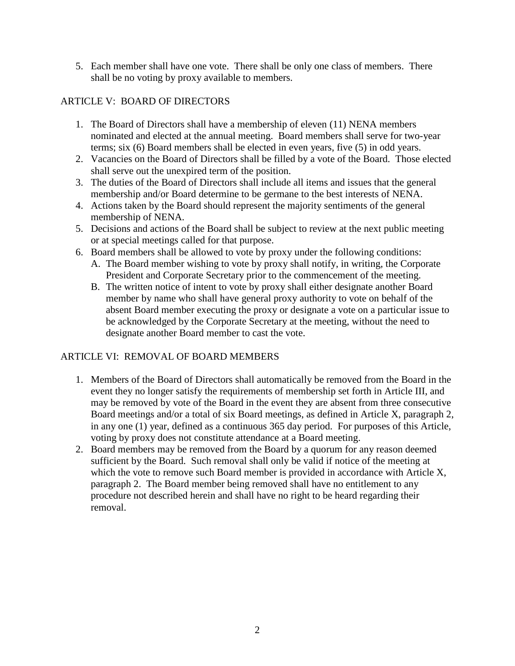5. Each member shall have one vote. There shall be only one class of members. There shall be no voting by proxy available to members.

# ARTICLE V: BOARD OF DIRECTORS

- 1. The Board of Directors shall have a membership of eleven (11) NENA members nominated and elected at the annual meeting. Board members shall serve for two-year terms; six (6) Board members shall be elected in even years, five (5) in odd years.
- 2. Vacancies on the Board of Directors shall be filled by a vote of the Board. Those elected shall serve out the unexpired term of the position.
- 3. The duties of the Board of Directors shall include all items and issues that the general membership and/or Board determine to be germane to the best interests of NENA.
- 4. Actions taken by the Board should represent the majority sentiments of the general membership of NENA.
- 5. Decisions and actions of the Board shall be subject to review at the next public meeting or at special meetings called for that purpose.
- 6. Board members shall be allowed to vote by proxy under the following conditions:
	- A. The Board member wishing to vote by proxy shall notify, in writing, the Corporate President and Corporate Secretary prior to the commencement of the meeting.
	- B. The written notice of intent to vote by proxy shall either designate another Board member by name who shall have general proxy authority to vote on behalf of the absent Board member executing the proxy or designate a vote on a particular issue to be acknowledged by the Corporate Secretary at the meeting, without the need to designate another Board member to cast the vote.

# ARTICLE VI: REMOVAL OF BOARD MEMBERS

- 1. Members of the Board of Directors shall automatically be removed from the Board in the event they no longer satisfy the requirements of membership set forth in Article III, and may be removed by vote of the Board in the event they are absent from three consecutive Board meetings and/or a total of six Board meetings, as defined in Article X, paragraph 2, in any one (1) year, defined as a continuous 365 day period. For purposes of this Article, voting by proxy does not constitute attendance at a Board meeting.
- 2. Board members may be removed from the Board by a quorum for any reason deemed sufficient by the Board. Such removal shall only be valid if notice of the meeting at which the vote to remove such Board member is provided in accordance with Article X, paragraph 2. The Board member being removed shall have no entitlement to any procedure not described herein and shall have no right to be heard regarding their removal.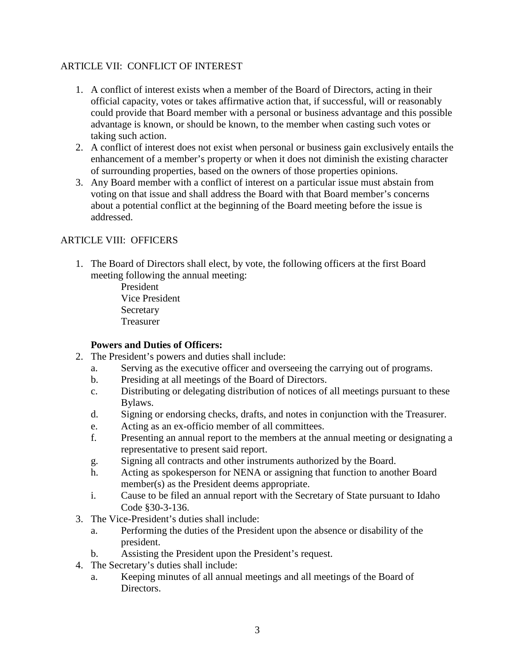## ARTICLE VII: CONFLICT OF INTEREST

- 1. A conflict of interest exists when a member of the Board of Directors, acting in their official capacity, votes or takes affirmative action that, if successful, will or reasonably could provide that Board member with a personal or business advantage and this possible advantage is known, or should be known, to the member when casting such votes or taking such action.
- 2. A conflict of interest does not exist when personal or business gain exclusively entails the enhancement of a member's property or when it does not diminish the existing character of surrounding properties, based on the owners of those properties opinions.
- 3. Any Board member with a conflict of interest on a particular issue must abstain from voting on that issue and shall address the Board with that Board member's concerns about a potential conflict at the beginning of the Board meeting before the issue is addressed.

# ARTICLE VIII: OFFICERS

1. The Board of Directors shall elect, by vote, the following officers at the first Board meeting following the annual meeting:

President Vice President **Secretary** Treasurer

# **Powers and Duties of Officers:**

- 2. The President's powers and duties shall include:
	- a. Serving as the executive officer and overseeing the carrying out of programs.
	- b. Presiding at all meetings of the Board of Directors.
	- c. Distributing or delegating distribution of notices of all meetings pursuant to these Bylaws.
	- d. Signing or endorsing checks, drafts, and notes in conjunction with the Treasurer.
	- e. Acting as an ex-officio member of all committees.
	- f. Presenting an annual report to the members at the annual meeting or designating a representative to present said report.
	- g. Signing all contracts and other instruments authorized by the Board.
	- h. Acting as spokesperson for NENA or assigning that function to another Board member(s) as the President deems appropriate.
	- i. Cause to be filed an annual report with the Secretary of State pursuant to Idaho Code §30-3-136.
- 3. The Vice-President's duties shall include:
	- a. Performing the duties of the President upon the absence or disability of the president.
	- b. Assisting the President upon the President's request.
- 4. The Secretary's duties shall include:
	- a. Keeping minutes of all annual meetings and all meetings of the Board of Directors.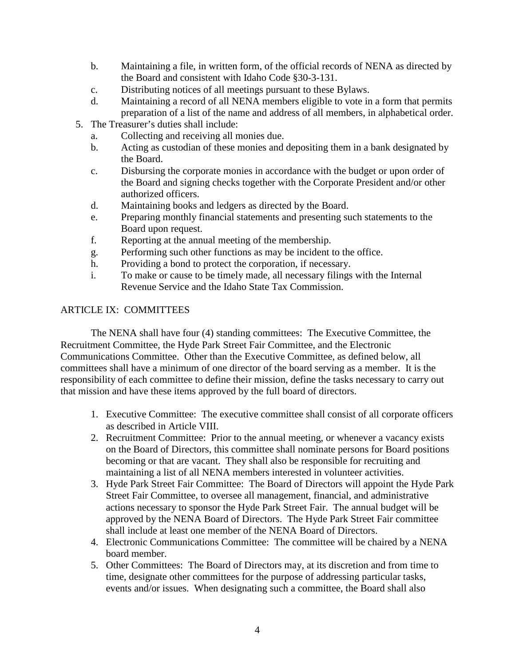- b. Maintaining a file, in written form, of the official records of NENA as directed by the Board and consistent with Idaho Code §30-3-131.
- c. Distributing notices of all meetings pursuant to these Bylaws.
- d. Maintaining a record of all NENA members eligible to vote in a form that permits preparation of a list of the name and address of all members, in alphabetical order.
- 5. The Treasurer's duties shall include:
	- a. Collecting and receiving all monies due.
	- b. Acting as custodian of these monies and depositing them in a bank designated by the Board.
	- c. Disbursing the corporate monies in accordance with the budget or upon order of the Board and signing checks together with the Corporate President and/or other authorized officers.
	- d. Maintaining books and ledgers as directed by the Board.
	- e. Preparing monthly financial statements and presenting such statements to the Board upon request.
	- f. Reporting at the annual meeting of the membership.
	- g. Performing such other functions as may be incident to the office.
	- h. Providing a bond to protect the corporation, if necessary.
	- i. To make or cause to be timely made, all necessary filings with the Internal Revenue Service and the Idaho State Tax Commission.

## ARTICLE IX: COMMITTEES

The NENA shall have four (4) standing committees: The Executive Committee, the Recruitment Committee, the Hyde Park Street Fair Committee, and the Electronic Communications Committee. Other than the Executive Committee, as defined below, all committees shall have a minimum of one director of the board serving as a member. It is the responsibility of each committee to define their mission, define the tasks necessary to carry out that mission and have these items approved by the full board of directors.

- 1. Executive Committee: The executive committee shall consist of all corporate officers as described in Article VIII.
- 2. Recruitment Committee: Prior to the annual meeting, or whenever a vacancy exists on the Board of Directors, this committee shall nominate persons for Board positions becoming or that are vacant. They shall also be responsible for recruiting and maintaining a list of all NENA members interested in volunteer activities.
- 3. Hyde Park Street Fair Committee: The Board of Directors will appoint the Hyde Park Street Fair Committee, to oversee all management, financial, and administrative actions necessary to sponsor the Hyde Park Street Fair. The annual budget will be approved by the NENA Board of Directors. The Hyde Park Street Fair committee shall include at least one member of the NENA Board of Directors.
- 4. Electronic Communications Committee: The committee will be chaired by a NENA board member.
- 5. Other Committees: The Board of Directors may, at its discretion and from time to time, designate other committees for the purpose of addressing particular tasks, events and/or issues. When designating such a committee, the Board shall also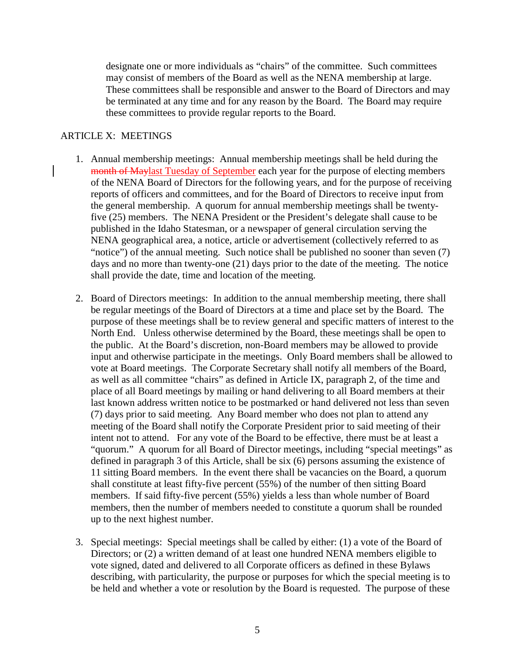designate one or more individuals as "chairs" of the committee. Such committees may consist of members of the Board as well as the NENA membership at large. These committees shall be responsible and answer to the Board of Directors and may be terminated at any time and for any reason by the Board. The Board may require these committees to provide regular reports to the Board.

#### ARTICLE X: MEETINGS

- 1. Annual membership meetings: Annual membership meetings shall be held during the month of Maylast Tuesday of September each year for the purpose of electing members of the NENA Board of Directors for the following years, and for the purpose of receiving reports of officers and committees, and for the Board of Directors to receive input from the general membership. A quorum for annual membership meetings shall be twentyfive (25) members. The NENA President or the President's delegate shall cause to be published in the Idaho Statesman, or a newspaper of general circulation serving the NENA geographical area, a notice, article or advertisement (collectively referred to as "notice") of the annual meeting. Such notice shall be published no sooner than seven (7) days and no more than twenty-one (21) days prior to the date of the meeting. The notice shall provide the date, time and location of the meeting.
- 2. Board of Directors meetings: In addition to the annual membership meeting, there shall be regular meetings of the Board of Directors at a time and place set by the Board. The purpose of these meetings shall be to review general and specific matters of interest to the North End. Unless otherwise determined by the Board, these meetings shall be open to the public. At the Board's discretion, non-Board members may be allowed to provide input and otherwise participate in the meetings. Only Board members shall be allowed to vote at Board meetings. The Corporate Secretary shall notify all members of the Board, as well as all committee "chairs" as defined in Article IX, paragraph 2, of the time and place of all Board meetings by mailing or hand delivering to all Board members at their last known address written notice to be postmarked or hand delivered not less than seven (7) days prior to said meeting. Any Board member who does not plan to attend any meeting of the Board shall notify the Corporate President prior to said meeting of their intent not to attend. For any vote of the Board to be effective, there must be at least a "quorum." A quorum for all Board of Director meetings, including "special meetings" as defined in paragraph 3 of this Article, shall be six (6) persons assuming the existence of 11 sitting Board members. In the event there shall be vacancies on the Board, a quorum shall constitute at least fifty-five percent (55%) of the number of then sitting Board members. If said fifty-five percent (55%) yields a less than whole number of Board members, then the number of members needed to constitute a quorum shall be rounded up to the next highest number.
- 3. Special meetings: Special meetings shall be called by either: (1) a vote of the Board of Directors; or (2) a written demand of at least one hundred NENA members eligible to vote signed, dated and delivered to all Corporate officers as defined in these Bylaws describing, with particularity, the purpose or purposes for which the special meeting is to be held and whether a vote or resolution by the Board is requested. The purpose of these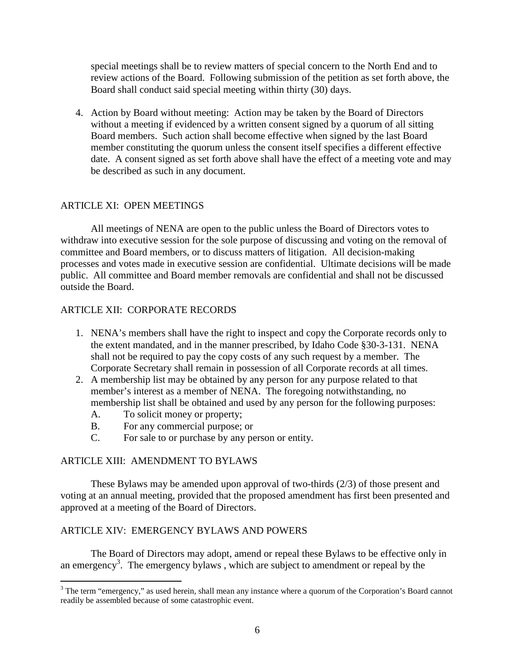special meetings shall be to review matters of special concern to the North End and to review actions of the Board. Following submission of the petition as set forth above, the Board shall conduct said special meeting within thirty (30) days.

4. Action by Board without meeting: Action may be taken by the Board of Directors without a meeting if evidenced by a written consent signed by a quorum of all sitting Board members. Such action shall become effective when signed by the last Board member constituting the quorum unless the consent itself specifies a different effective date. A consent signed as set forth above shall have the effect of a meeting vote and may be described as such in any document.

## ARTICLE XI: OPEN MEETINGS

 All meetings of NENA are open to the public unless the Board of Directors votes to withdraw into executive session for the sole purpose of discussing and voting on the removal of committee and Board members, or to discuss matters of litigation. All decision-making processes and votes made in executive session are confidential. Ultimate decisions will be made public. All committee and Board member removals are confidential and shall not be discussed outside the Board.

## ARTICLE XII: CORPORATE RECORDS

- 1. NENA's members shall have the right to inspect and copy the Corporate records only to the extent mandated, and in the manner prescribed, by Idaho Code §30-3-131. NENA shall not be required to pay the copy costs of any such request by a member. The Corporate Secretary shall remain in possession of all Corporate records at all times.
- 2. A membership list may be obtained by any person for any purpose related to that member's interest as a member of NENA. The foregoing notwithstanding, no membership list shall be obtained and used by any person for the following purposes:
	- A. To solicit money or property;
	- B. For any commercial purpose; or
	- C. For sale to or purchase by any person or entity.

### ARTICLE XIII: AMENDMENT TO BYLAWS

 These Bylaws may be amended upon approval of two-thirds (2/3) of those present and voting at an annual meeting, provided that the proposed amendment has first been presented and approved at a meeting of the Board of Directors.

### ARTICLE XIV: EMERGENCY BYLAWS AND POWERS

 The Board of Directors may adopt, amend or repeal these Bylaws to be effective only in an emergency<sup>3</sup>. The emergency bylaws, which are subject to amendment or repeal by the

<sup>&</sup>lt;sup>3</sup> The term "emergency," as used herein, shall mean any instance where a quorum of the Corporation's Board cannot readily be assembled because of some catastrophic event.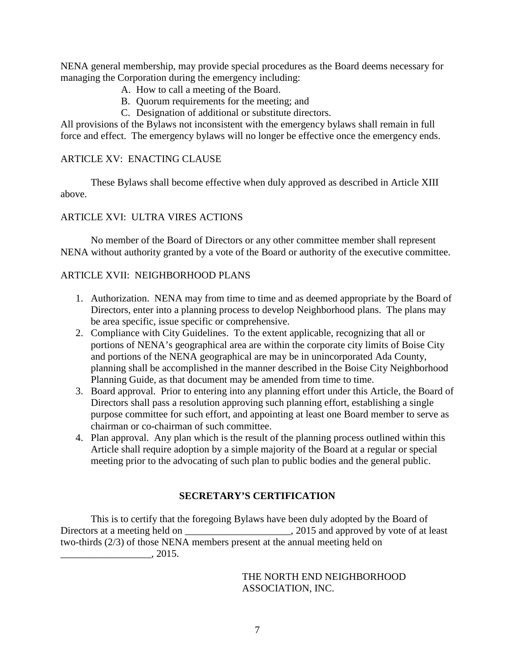NENA general membership, may provide special procedures as the Board deems necessary for managing the Corporation during the emergency including:

- A. How to call a meeting of the Board.
- B. Quorum requirements for the meeting; and
- C. Designation of additional or substitute directors.

All provisions of the Bylaws not inconsistent with the emergency bylaws shall remain in full force and effect. The emergency bylaws will no longer be effective once the emergency ends.

# ARTICLE XV: ENACTING CLAUSE

 These Bylaws shall become effective when duly approved as described in Article XIII above.

# ARTICLE XVI: ULTRA VIRES ACTIONS

 No member of the Board of Directors or any other committee member shall represent NENA without authority granted by a vote of the Board or authority of the executive committee.

# ARTICLE XVII: NEIGHBORHOOD PLANS

- 1. Authorization. NENA may from time to time and as deemed appropriate by the Board of Directors, enter into a planning process to develop Neighborhood plans. The plans may be area specific, issue specific or comprehensive.
- 2. Compliance with City Guidelines. To the extent applicable, recognizing that all or portions of NENA's geographical area are within the corporate city limits of Boise City and portions of the NENA geographical are may be in unincorporated Ada County, planning shall be accomplished in the manner described in the Boise City Neighborhood Planning Guide, as that document may be amended from time to time.
- 3. Board approval. Prior to entering into any planning effort under this Article, the Board of Directors shall pass a resolution approving such planning effort, establishing a single purpose committee for such effort, and appointing at least one Board member to serve as chairman or co-chairman of such committee.
- 4. Plan approval. Any plan which is the result of the planning process outlined within this Article shall require adoption by a simple majority of the Board at a regular or special meeting prior to the advocating of such plan to public bodies and the general public.

# **SECRETARY'S CERTIFICATION**

 This is to certify that the foregoing Bylaws have been duly adopted by the Board of Directors at a meeting held on \_\_\_\_\_\_\_\_\_\_\_\_\_\_\_\_\_\_\_\_\_\_\_\_, 2015 and approved by vote of at least two-thirds (2/3) of those NENA members present at the annual meeting held on  $\frac{1}{2015}$ , 2015.

> THE NORTH END NEIGHBORHOOD ASSOCIATION, INC.